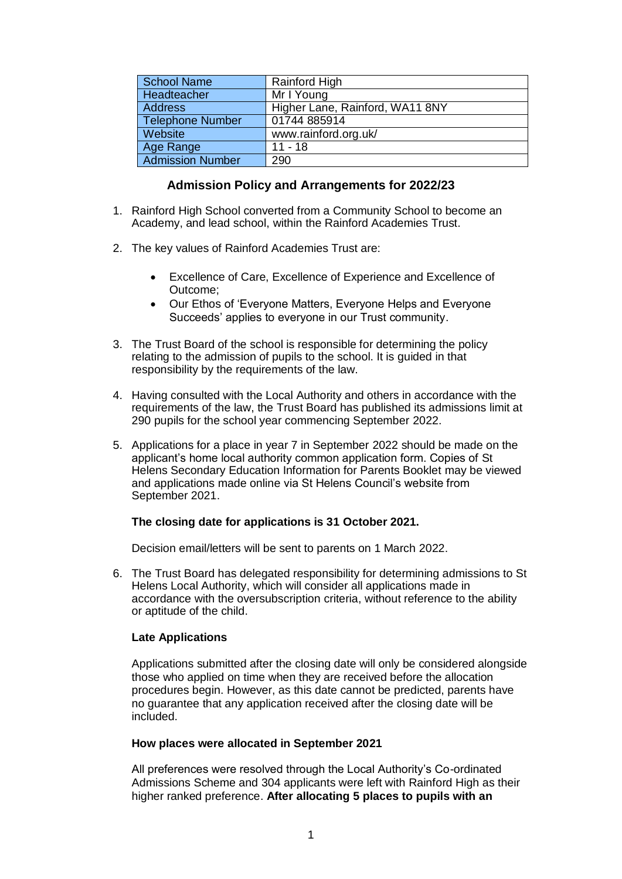| <b>School Name</b>      | Rainford High                   |
|-------------------------|---------------------------------|
| Headteacher             | Mr I Young                      |
| <b>Address</b>          | Higher Lane, Rainford, WA11 8NY |
| <b>Telephone Number</b> | 01744 885914                    |
| Website                 | www.rainford.org.uk/            |
| Age Range               | $11 - 18$                       |
| <b>Admission Number</b> | 290                             |

## **Admission Policy and Arrangements for 2022/23**

- 1. Rainford High School converted from a Community School to become an Academy, and lead school, within the Rainford Academies Trust.
- 2. The key values of Rainford Academies Trust are:
	- Excellence of Care, Excellence of Experience and Excellence of Outcome;
	- Our Ethos of 'Everyone Matters, Everyone Helps and Everyone Succeeds' applies to everyone in our Trust community.
- 3. The Trust Board of the school is responsible for determining the policy relating to the admission of pupils to the school. It is guided in that responsibility by the requirements of the law.
- 4. Having consulted with the Local Authority and others in accordance with the requirements of the law, the Trust Board has published its admissions limit at 290 pupils for the school year commencing September 2022.
- 5. Applications for a place in year 7 in September 2022 should be made on the applicant's home local authority common application form. Copies of St Helens Secondary Education Information for Parents Booklet may be viewed and applications made online via St Helens Council's website from September 2021.

## **The closing date for applications is 31 October 2021.**

Decision email/letters will be sent to parents on 1 March 2022.

6. The Trust Board has delegated responsibility for determining admissions to St Helens Local Authority, which will consider all applications made in accordance with the oversubscription criteria, without reference to the ability or aptitude of the child.

## **Late Applications**

Applications submitted after the closing date will only be considered alongside those who applied on time when they are received before the allocation procedures begin. However, as this date cannot be predicted, parents have no guarantee that any application received after the closing date will be included.

## **How places were allocated in September 2021**

All preferences were resolved through the Local Authority's Co-ordinated Admissions Scheme and 304 applicants were left with Rainford High as their higher ranked preference. **After allocating 5 places to pupils with an**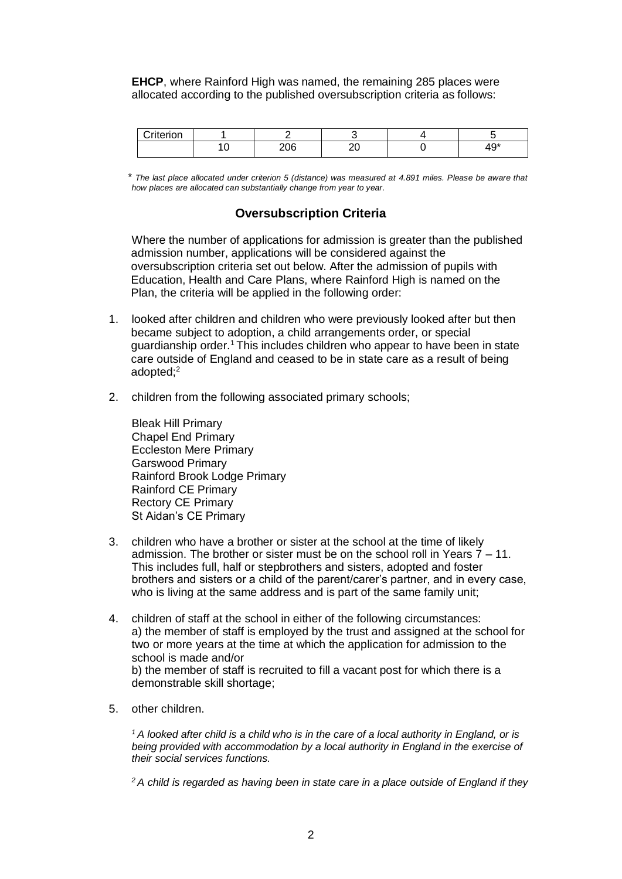**EHCP**, where Rainford High was named, the remaining 285 places were allocated according to the published oversubscription criteria as follows:

| Criterion and Cri |     |   |                    |
|-------------------|-----|---|--------------------|
|                   | 206 | ∼ | $4^{\wedge}$<br>᠇◡ |

 *\* The last place allocated under criterion 5 (distance) was measured at 4.891 miles. Please be aware that how places are allocated can substantially change from year to year.*

# **Oversubscription Criteria**

Where the number of applications for admission is greater than the published admission number, applications will be considered against the oversubscription criteria set out below. After the admission of pupils with Education, Health and Care Plans, where Rainford High is named on the Plan, the criteria will be applied in the following order:

- 1. looked after children and children who were previously looked after but then became subject to adoption, a child arrangements order, or special guardianship order.<sup>1</sup> This includes children who appear to have been in state care outside of England and ceased to be in state care as a result of being adopted; 2
- 2. children from the following associated primary schools;

Bleak Hill Primary Chapel End Primary Eccleston Mere Primary Garswood Primary Rainford Brook Lodge Primary Rainford CE Primary Rectory CE Primary St Aidan's CE Primary

- 3. children who have a brother or sister at the school at the time of likely admission. The brother or sister must be on the school roll in Years  $7 - 11$ . This includes full, half or stepbrothers and sisters, adopted and foster brothers and sisters or a child of the parent/carer's partner, and in every case, who is living at the same address and is part of the same family unit;
- 4. children of staff at the school in either of the following circumstances: a) the member of staff is employed by the trust and assigned at the school for two or more years at the time at which the application for admission to the school is made and/or b) the member of staff is recruited to fill a vacant post for which there is a demonstrable skill shortage;
- 5. other children.

*<sup>1</sup>A looked after child is a child who is in the care of a local authority in England, or is being provided with accommodation by a local authority in England in the exercise of their social services functions.* 

*<sup>2</sup> A child is regarded as having been in state care in a place outside of England if they*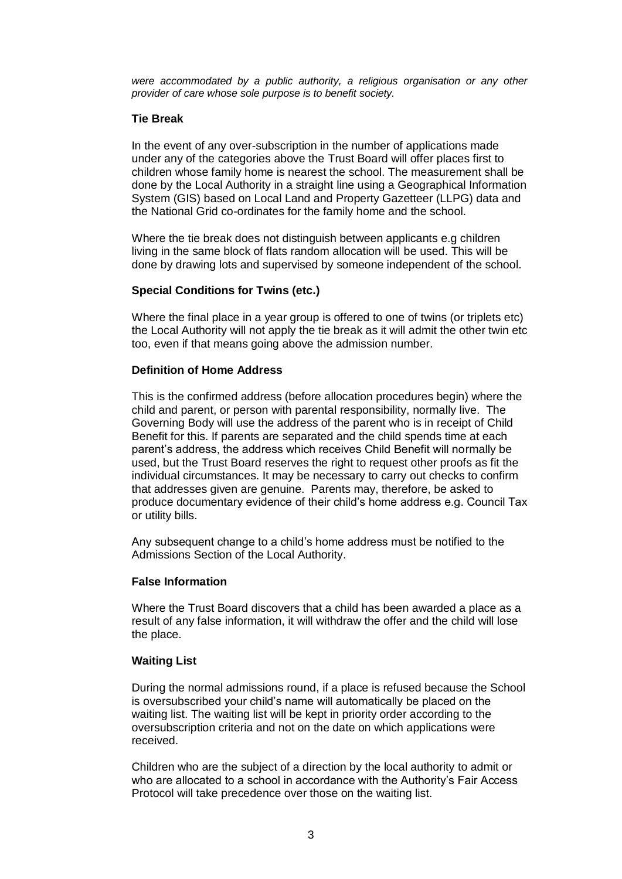*were accommodated by a public authority, a religious organisation or any other provider of care whose sole purpose is to benefit society.*

## **Tie Break**

In the event of any over-subscription in the number of applications made under any of the categories above the Trust Board will offer places first to children whose family home is nearest the school. The measurement shall be done by the Local Authority in a straight line using a Geographical Information System (GIS) based on Local Land and Property Gazetteer (LLPG) data and the National Grid co-ordinates for the family home and the school.

Where the tie break does not distinguish between applicants e.g children living in the same block of flats random allocation will be used. This will be done by drawing lots and supervised by someone independent of the school.

## **Special Conditions for Twins (etc.)**

Where the final place in a year group is offered to one of twins (or triplets etc) the Local Authority will not apply the tie break as it will admit the other twin etc too, even if that means going above the admission number.

## **Definition of Home Address**

This is the confirmed address (before allocation procedures begin) where the child and parent, or person with parental responsibility, normally live. The Governing Body will use the address of the parent who is in receipt of Child Benefit for this. If parents are separated and the child spends time at each parent's address, the address which receives Child Benefit will normally be used, but the Trust Board reserves the right to request other proofs as fit the individual circumstances. It may be necessary to carry out checks to confirm that addresses given are genuine. Parents may, therefore, be asked to produce documentary evidence of their child's home address e.g. Council Tax or utility bills.

Any subsequent change to a child's home address must be notified to the Admissions Section of the Local Authority.

## **False Information**

Where the Trust Board discovers that a child has been awarded a place as a result of any false information, it will withdraw the offer and the child will lose the place.

## **Waiting List**

During the normal admissions round, if a place is refused because the School is oversubscribed your child's name will automatically be placed on the waiting list. The waiting list will be kept in priority order according to the oversubscription criteria and not on the date on which applications were received.

Children who are the subject of a direction by the local authority to admit or who are allocated to a school in accordance with the Authority's Fair Access Protocol will take precedence over those on the waiting list.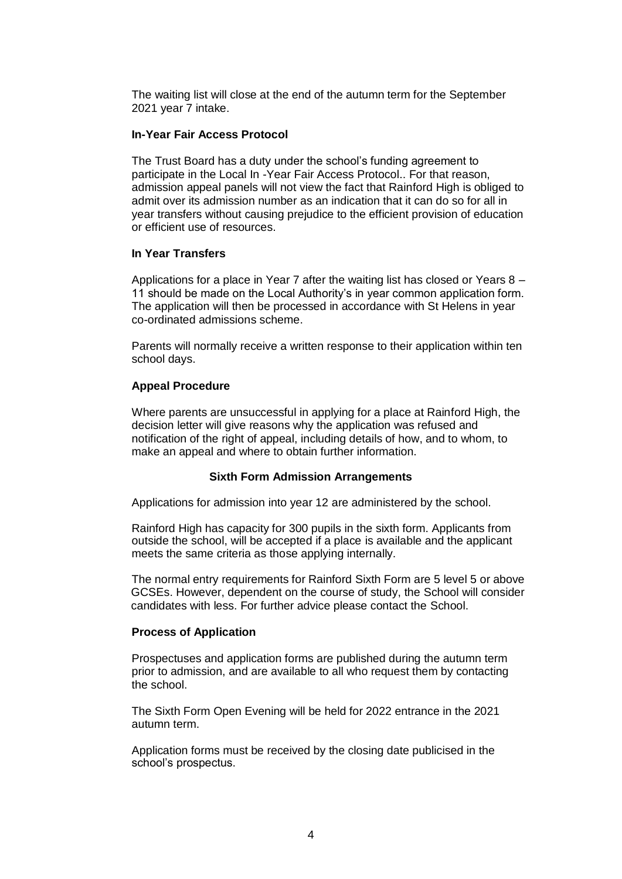The waiting list will close at the end of the autumn term for the September 2021 year 7 intake.

## **In-Year Fair Access Protocol**

The Trust Board has a duty under the school's funding agreement to participate in the Local In -Year Fair Access Protocol.. For that reason, admission appeal panels will not view the fact that Rainford High is obliged to admit over its admission number as an indication that it can do so for all in year transfers without causing prejudice to the efficient provision of education or efficient use of resources.

## **In Year Transfers**

Applications for a place in Year 7 after the waiting list has closed or Years 8 – 11 should be made on the Local Authority's in year common application form. The application will then be processed in accordance with St Helens in year co-ordinated admissions scheme.

Parents will normally receive a written response to their application within ten school days.

## **Appeal Procedure**

Where parents are unsuccessful in applying for a place at Rainford High, the decision letter will give reasons why the application was refused and notification of the right of appeal, including details of how, and to whom, to make an appeal and where to obtain further information.

#### **Sixth Form Admission Arrangements**

Applications for admission into year 12 are administered by the school.

Rainford High has capacity for 300 pupils in the sixth form. Applicants from outside the school, will be accepted if a place is available and the applicant meets the same criteria as those applying internally.

The normal entry requirements for Rainford Sixth Form are 5 level 5 or above GCSEs. However, dependent on the course of study, the School will consider candidates with less. For further advice please contact the School.

#### **Process of Application**

Prospectuses and application forms are published during the autumn term prior to admission, and are available to all who request them by contacting the school.

The Sixth Form Open Evening will be held for 2022 entrance in the 2021 autumn term.

Application forms must be received by the closing date publicised in the school's prospectus.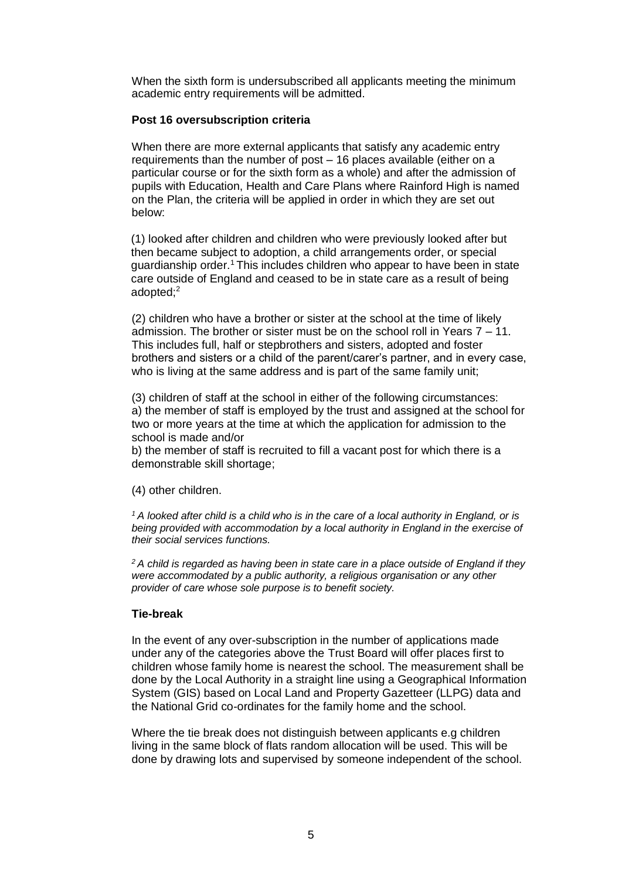When the sixth form is undersubscribed all applicants meeting the minimum academic entry requirements will be admitted.

## **Post 16 oversubscription criteria**

When there are more external applicants that satisfy any academic entry requirements than the number of post – 16 places available (either on a particular course or for the sixth form as a whole) and after the admission of pupils with Education, Health and Care Plans where Rainford High is named on the Plan, the criteria will be applied in order in which they are set out below:

(1) looked after children and children who were previously looked after but then became subject to adoption, a child arrangements order, or special guardianship order.<sup>1</sup> This includes children who appear to have been in state care outside of England and ceased to be in state care as a result of being adopted; 2

(2) children who have a brother or sister at the school at the time of likely admission. The brother or sister must be on the school roll in Years 7 – 11. This includes full, half or stepbrothers and sisters, adopted and foster brothers and sisters or a child of the parent/carer's partner, and in every case, who is living at the same address and is part of the same family unit;

(3) children of staff at the school in either of the following circumstances: a) the member of staff is employed by the trust and assigned at the school for two or more years at the time at which the application for admission to the school is made and/or

b) the member of staff is recruited to fill a vacant post for which there is a demonstrable skill shortage;

(4) other children.

*<sup>1</sup>A looked after child is a child who is in the care of a local authority in England, or is*  being provided with accommodation by a local authority in England in the exercise of *their social services functions.* 

*<sup>2</sup> A child is regarded as having been in state care in a place outside of England if they were accommodated by a public authority, a religious organisation or any other provider of care whose sole purpose is to benefit society.*

## **Tie-break**

In the event of any over-subscription in the number of applications made under any of the categories above the Trust Board will offer places first to children whose family home is nearest the school. The measurement shall be done by the Local Authority in a straight line using a Geographical Information System (GIS) based on Local Land and Property Gazetteer (LLPG) data and the National Grid co-ordinates for the family home and the school.

Where the tie break does not distinguish between applicants e.g children living in the same block of flats random allocation will be used. This will be done by drawing lots and supervised by someone independent of the school.